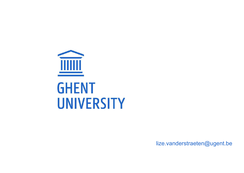

lize.vanderstraeten@ugent.be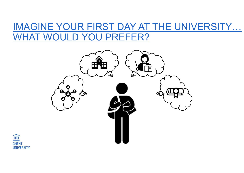## IMAGINE YOUR FIRST DAY AT THE UNIVERSITY… WHAT WOULD YOU PREFER?



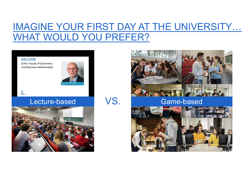## IMAGINE YOUR FIRST DAY AT THE UNIVERSITY… WHAT WOULD YOU PREFER?

## **WELCOME**

**CHEMI**<br>GHEMI<br>UNIVERSITY

at the Faculty of Economics and Business Administration







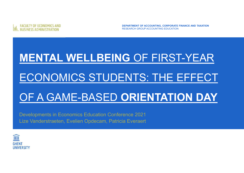

DEPARTMENT OF ACCOUNTING, CORPORATE FINANCE AND TAXATION RESEARCH GROUP ACCOUNTING EDUCATION

# EQUITY OF ECONOMICS AND<br>BUSINESS ADMINISTRATION<br>MENTAL WELLBEING OF FIRST-YEAR<br>FCONOMICS STUDENTS' THE FFFFFCT EQUITY OF ECONOMICS AND<br>BUSINES ADMINISTRATION<br>ECONOMICS STUDENTS: THE EFFECT<br>OF A GAME-RASED **ORIENTATION DAY** FACULTY OF ECONOMICS AND<br>MENTAL WELLBEING OF FIRST-YEAR<br>ECONOMICS STUDENTS: THE EFFECT<br>OF A GAME-BASED ORIENTATION DAY<br>Developments in Economics Education Conference 2021 MENTAL WELLBEING OF FIRST-YEA<br>ECONOMICS STUDENTS: THE EFFE<br>OF A GAME-BASED ORIENTATION D<br>Developments in Economics Education Conference 2021<br>Lize Vanderstraeten, Evelien Opdecam, Patricia Everaert

Lize Vanderstraeten, Evelien Opdecam, Patricia Everaert

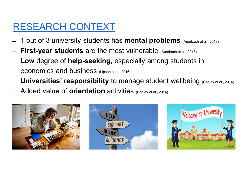# RESEARCH CONTEXT

- 
- 
- **ESEARCH CONTEXT**<br>
 1 out of 3 university students has **mental problems** (Auerbach et al., 2018)<br>
 **First-year students** are the most vulnerable (Auerbach et al., 2018)<br>
 **Low** degree of **help-seeking**, especially among ESEARCH CONTEXT<br>- 1 out of 3 university students has **mental problems** (Auerbach et al., 2018)<br>- **Eirst-year students** are the most vulnerable (Auerbach et al., 2018)<br>- **Low** degree of **help-seeking**, especially among stud **RESEARCH CONTEXT**<br>
- 1 out of 3 university students has mental problems<br>
- First-year students are the most vulnerable (Auerbach<br>
- Low degree of help-seeking, especially among student<br>
- Universities' responsibility to m
- 
- 





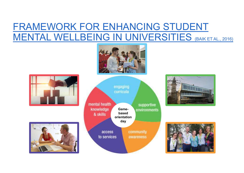# **FRAMEWORK FOR ENHANCING STUDENT<br>MENTAL WELLBEING IN UNIVERSITIES (BAIK ET AL., 2016)** FRAMEWORK FOR ENHANCING STUDENT<br>MENTAL WELLBEING IN UNIVERSITIES (BAIK ETAL., 2016)<br>MENTAL WELLBEING IN UNIVERSITIES (BAIK ETAL., 2016)











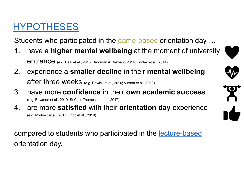# HYPOTHESES

- Students who participated in the game-based orientation day … 1. have a higher mental wellbeing at the moment of university<br>1. have a higher mental wellbeing at the moment of university<br>entrance (e.g. Baik et al., 2016; Brooman & Darwent, 2014; Conley et al., 2014)<br>2. experience a se **POTHESES**<br>Jents who participated in the game-based orientation da<br>have a **higher mental wellbeing** at the moment of univ<br>entrance <sub>(e.g. Baik et al., 2016; Brooman & Darwent, 2014; Conley et al., 2014)<br>experience a **small</sub>** Experience a smaller decline in their mental wellbeing<br>
2. experience a smaller decline in their mental wellbeing<br>
2. experience a smaller decline in their mental wellbeing<br>
2. experience a smaller decline in their mental **POTHESES**<br>dents who participated in the game-based orientation day ...<br>have a **higher mental wellbeing** at the moment of university<br>entrance <sub>(e.g. Baik et al., 2016; Brooman & Darwent, 2014; Conley et al., 2014)<br>experien</sub> Students who participated in the game-based orientation day ...<br>
1. have a higher mental wellbeing at the moment of university<br>
entrance <sub>(e.g. Balk et al., 2016; Brooman & Danvent, 2014; Conley et al., 2014)<br>
2. experienc</sub> Students who participated in the <u>game-based</u> orientation day ...<br>
1. have a **higher mental wellbeing** at the moment of university<br>
entrance <sub>(e.g. Balk et al., 2016; Brooman & Darwent, 2014; Conley et al., 2014)<br>
2. exper</sub>
- 
- (e.g. Bowman et al., 2019; St Clair-Thompson et al., 2017)
- (e.g. Myrtveit et al., 2017; Zhoc et al., 2019)

entrance (e.g. Balk et al., 2016; Brooman & Darwent, 2014; Conley et al., 2014)<br>
2. experience a smaller decline in their mental wellbeing<br>
after three weeks (e.g. Bewick et al., 2010; Vinson et al., 2010)<br>
3. have more co 2. experience a **smaller decline** in their<br>after three weeks (e.g. Bewick et al., 2010; Vinson et al.,<br>3. have more **confidence** in their **own** a<br>(e.g. Bowman et al., 2019; St Clair-Thompson et al., 2017)<br>4. are more **sat** 





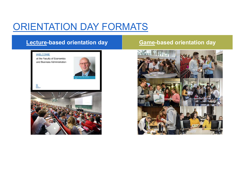# ORIENTATION DAY FORMATS<br>Lecture-based orientation day<br>Recture-based orientation day





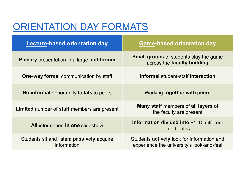| ORIENTATION DAY FORMATS                                          |                                                                                                |
|------------------------------------------------------------------|------------------------------------------------------------------------------------------------|
| <b>Lecture-based orientation day</b>                             | <b>Game-based orientation day</b>                                                              |
| <b>Plenary</b> presentation in a large <b>auditorium</b>         | <b>Small groups</b> of students play the game<br>across the faculty building                   |
| <b>One-way formal</b> communication by staff                     | Informal student-staff interaction                                                             |
| No informal opportunity to talk to peers                         | Working together with peers                                                                    |
| <b>Limited</b> number of <b>staff</b> members are present        | <b>Many staff</b> members of <b>all layers</b> of<br>the faculty are present                   |
| <b>All information in one slideshow</b>                          | <b>Information divided into <math>+/-</math> 10 different</b><br>info booths                   |
| Students sit and listen: <b>passively</b> acquire<br>information | Students <b>actively</b> look for information and<br>experience the university's look-and-feel |
|                                                                  |                                                                                                |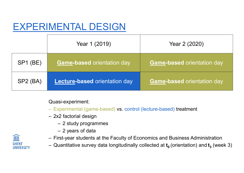# EXPERIMENTAL DESIGN

|                                                                                                                                                                                                                                                                                                                                                                                           | <b>EXPERIMENTAL DESIGN</b><br>Year 1 (2019) | Year 2 (2020)                     |  |  |  |  |
|-------------------------------------------------------------------------------------------------------------------------------------------------------------------------------------------------------------------------------------------------------------------------------------------------------------------------------------------------------------------------------------------|---------------------------------------------|-----------------------------------|--|--|--|--|
| <b>SP1 (BE)</b>                                                                                                                                                                                                                                                                                                                                                                           | <b>Game-based orientation day</b>           | <b>Game-based orientation day</b> |  |  |  |  |
| $SP2$ (BA)                                                                                                                                                                                                                                                                                                                                                                                | <b>Lecture-based orientation day</b>        | <b>Game-based orientation day</b> |  |  |  |  |
| Quasi-experiment:<br>- Experimental (game-based) vs. control (lecture-based) treatment<br>- 2x2 factorial design<br>- 2 study programmes<br>- 2 years of data<br>I<br>- First-year students at the Faculty of Economics and Business Administration<br><b>GHENT</b><br>- Quantitative survey data longitudinally collected at $t_0$ (orientation) and $t_3$ (week 3)<br><b>UNIVERSITY</b> |                                             |                                   |  |  |  |  |

## Quasi-experiment:

- 
- -
	-
- 
- $\cup$ (orientation) and  $\mathbf{t_3}$  (week 3)

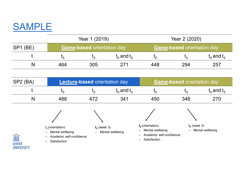## SAMPLE

| <b>SAMPLE</b>   |         |                                      |                 |                                   |                                   |                 |
|-----------------|---------|--------------------------------------|-----------------|-----------------------------------|-----------------------------------|-----------------|
| Year 1 (2019)   |         | Year 2 (2020)                        |                 |                                   |                                   |                 |
| <b>SP1 (BE)</b> |         | <b>Game-based orientation day</b>    |                 | <b>Game-based orientation day</b> |                                   |                 |
| $\mathbf{t}$    | $t_{0}$ | $t_3$                                | $t_0$ and $t_3$ | $t_{0}$                           | $t_3$                             | $t_0$ and $t_3$ |
| N               | 464     | 305                                  | 271             | 448                               | 294                               | 257             |
|                 |         |                                      |                 |                                   |                                   |                 |
| SP2 (BA)        |         | <b>Lecture-based orientation day</b> |                 |                                   | <b>Game-based orientation day</b> |                 |
|                 | $t_{0}$ | $t_3$                                | $t_0$ and $t_3$ | $t_{0}$                           | $t_3$                             | $t_0$ and $t_3$ |
| N               | 488     | 472                                  | 341             | 450                               | 348                               | 270             |
|                 |         |                                      |                 |                                   |                                   |                 |
|                 |         |                                      |                 |                                   |                                   |                 |

|                                        | $\mathsf{L}_0$                                                                            | $I_3$          | $t_0$ and $t_3$    | $t_{0}$                                                                                                                  | $\mathfrak{t}_3$                  | $t_0$ and $t_3$    |
|----------------------------------------|-------------------------------------------------------------------------------------------|----------------|--------------------|--------------------------------------------------------------------------------------------------------------------------|-----------------------------------|--------------------|
| N                                      | 464                                                                                       | 305            | 271                | 448                                                                                                                      | 294                               | 257                |
| SP2 (BA)                               | <b>Lecture-based orientation day</b>                                                      |                |                    |                                                                                                                          | <b>Game-based orientation day</b> |                    |
|                                        | $I_0$                                                                                     | $t_3$          | $t_0$ and $t_3$    | $t_{0}$                                                                                                                  | $t_3$                             | $t_0$ and $t_3$    |
| N                                      | 488                                                                                       | 472            | 341                | 450                                                                                                                      | 348                               | 270                |
| I<br><b>GHENT</b><br><b>UNIVERSITY</b> | $t_0$ (orientation)<br>- Mental wellbeing<br>- Academic self-confidence<br>- Satisfaction | $t_3$ (week 3) | - Mental wellbeing | $t_0$ (orientation)<br>- Mental wellbeing<br>Academic self-confidence<br>$-$<br>Satisfaction<br>$\overline{\phantom{0}}$ | $t_3$ (week 3)                    | - Mental wellbeing |

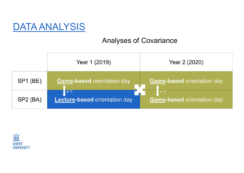## DATA ANALYSIS

## Analyses of Covariance



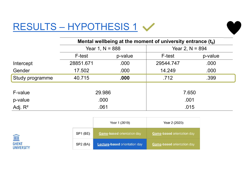| RESULTS - HYPOTHESIS 1 V |                   |         |                                                               |         |
|--------------------------|-------------------|---------|---------------------------------------------------------------|---------|
|                          |                   |         |                                                               |         |
|                          |                   |         | Mental wellbeing at the moment of university entrance $(t_0)$ |         |
|                          | Year 1, $N = 888$ |         | Year 2, $N = 894$                                             |         |
|                          | F-test            | p-value | F-test                                                        | p-value |
| Intercept                | 28851.671         | .000    | 29544.747                                                     | .000    |
| Gender                   | 17.502            | .000    | 14.249                                                        | .000    |
| Study programme          | 40.715            | .000    | .712                                                          | .399    |
| F-value                  |                   |         |                                                               |         |
|                          | 29.986            |         | 7.650                                                         |         |
|                          | .000              |         | .001<br>.015                                                  |         |
| p-value                  |                   |         |                                                               |         |
| Adj. $R^2$               | .061              |         |                                                               |         |

|                      | Year 1 (2019)                        | Year 2 (2020)                     |
|----------------------|--------------------------------------|-----------------------------------|
| SP1 (BE)             | <b>Game-based orientation day</b>    | <b>Game-based orientation day</b> |
| SP <sub>2</sub> (BA) | <b>Lecture-based orientation day</b> | <b>Game-based orientation day</b> |

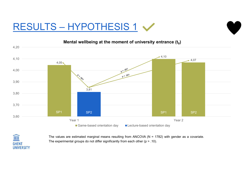# $\frac{1}{\frac{120}{2420}}$  Mental wellbeing at the moment of university entrance (t<sub>0</sub>)

## ) and the set of  $\overline{\phantom{a}}$



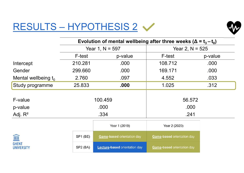# $RESULTS - HYPOTHESIS 2 <$



| <b>RESULTS - HYPOTHESIS 2</b>     |                   |                                                                          |                            |         |
|-----------------------------------|-------------------|--------------------------------------------------------------------------|----------------------------|---------|
|                                   |                   | Evolution of mental wellbeing after three weeks ( $\Delta = t_3 - t_0$ ) |                            |         |
|                                   | Year 1, $N = 597$ |                                                                          | Year 2, $N = 525$          |         |
|                                   | F-test            | p-value                                                                  | F-test                     | p-value |
| Intercept                         | 210.281           | .000                                                                     | 108.712                    | .000    |
| Gender                            | 299.660           | .000                                                                     | 169.171                    | .000    |
| Mental wellbeing $t_0$            | 2.760             | .097                                                                     | 4.552                      | .033    |
| Study programme                   | 25.833            | .000                                                                     | 1.025                      | .312    |
| F-value                           |                   | 100.459                                                                  | 56.572                     |         |
| p-value                           |                   | .000                                                                     | .000                       |         |
| Adj. $R^2$                        | .334              |                                                                          | .241                       |         |
|                                   |                   | Year 1 (2019)                                                            | Year 2 (2020)              |         |
| III                               | SP1 (BE)          | Game-based orientation day                                               | Game-based orientation day |         |
| <b>GHENT</b><br><b>UNIVERSITY</b> | SP2 (BA)          | Lecture-based orientation day                                            | Game-based orientation day |         |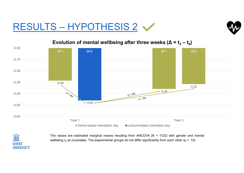# $\frac{1000}{\text{ReSULTS} - \text{HYPOTHESIS 2}}$



## )



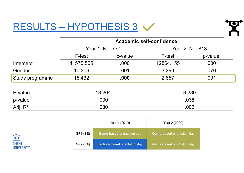# RESULTS – HYPOTHESIS 3



| RESULTS - HYPOTHESIS 3 |                   |               |                                 |                   |  |
|------------------------|-------------------|---------------|---------------------------------|-------------------|--|
|                        |                   |               | <b>Academic self-confidence</b> |                   |  |
|                        | Year 1, $N = 777$ |               |                                 | Year 2, $N = 818$ |  |
|                        | F-test            | p-value       | F-test                          | p-value           |  |
| Intercept              | 11575.565         | .000          | 12864.155                       | .000              |  |
| Gender                 | 10.306            | .001          | 3.299                           | .070              |  |
| Study programme        | 15.432            | .000          | 2.857                           | .091              |  |
| F-value                | 13.204            |               | 3.280                           |                   |  |
| p-value                | .000              |               | .038                            |                   |  |
| Adj. $R^2$             | .030              |               | .006                            |                   |  |
|                        |                   | Year 1 (2019) | Year 2 (2020)                   |                   |  |

|                      | Year 1 (2019)                        | Year 2 (2020)                     |
|----------------------|--------------------------------------|-----------------------------------|
| SP1 (BE)             | <b>Game-based orientation day</b>    | <b>Game-based orientation day</b> |
| SP <sub>2</sub> (BA) | <b>Lecture-based orientation day</b> | Game-based orientation day        |

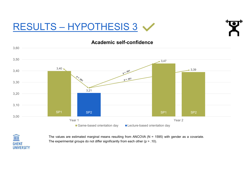# RESULTS – HYPOTHESIS 3





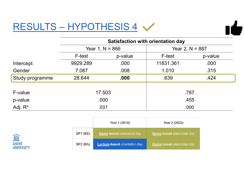# RESULTS – HYPOTHESIS 4

| ş. | × |  |
|----|---|--|

| <b>RESULTS - HYPOTHESIS 4</b> |                   |               |                                   |                   |  |
|-------------------------------|-------------------|---------------|-----------------------------------|-------------------|--|
|                               |                   |               | Satisfaction with orientation day |                   |  |
|                               | Year 1, $N = 866$ |               |                                   | Year 2, $N = 887$ |  |
|                               | F-test            | p-value       | F-test                            | p-value           |  |
| Intercept                     | 9929.289          | .000          | 11831.361                         | .000              |  |
| Gender                        | 7.087             | .008          | 1.010                             | .315              |  |
| Study programme               | 28.644            | .000          | .639                              | .424              |  |
| F-value                       | 17.503            |               | .787                              |                   |  |
| p-value                       |                   | .000          | .455                              |                   |  |
| Adj. $R^2$                    | .037              |               | .000                              |                   |  |
|                               |                   | Year 1 (2019) | Year 2 (2020)                     |                   |  |

|                      | Year 1 (2019)                        | Year 2 (2020)                     |
|----------------------|--------------------------------------|-----------------------------------|
| SP <sub>1</sub> (BE) | <b>Game-based orientation day</b>    | <b>Game-based orientation day</b> |
| SP <sub>2</sub> (BA) | <b>Lecture-based orientation day</b> | <b>Game-based orientation day</b> |

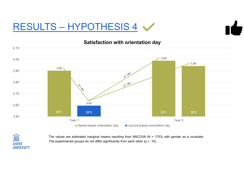# $\frac{\text{RESULTS} - \text{HYPOTHESIS 4}}{\text{Satisfaction with orientation day}}$



![](_page_19_Picture_3.jpeg)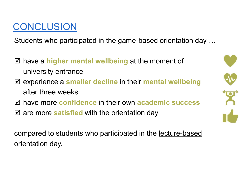# CONCLUSION

CONCLUSION<br>Students who participated in the <u>game-based</u> orientation day …

- $\boxtimes$  have a higher mental wellbeing at the moment of university entrance
- CONCLUSION<br>
Students who participated in the <u>game-based</u> orientation day ...<br>
⊠ have a higher mental wellbeing at the moment of<br>
university entrance<br>
⊠ experience a smaller decline in their mental wellbeing<br>
after three **CON**<br> **CON**<br> **A**<br> **EXECUSE ION**<br> **EXECUSE EXECUSE ION**<br> **EXECUSE ION EXECUSE AND**<br> **EXECUSE ION EXECUSE AND**<br> **EXECUSE ION EXECUSE AND**<br> **EXECUSE AND**<br> **EXECUSE AND**<br> **EXECUSE AND**<br> **EXECUSE AND**<br> **EXECUSE AND**<br> **EXECUSE** Students who participated in the <u>game-based</u> orientation day ...<br>  $\Box$  have a higher mental wellbeing at the moment of<br>
university entrance<br>  $\Box$  experience a smaller decline in their mental wellbeing<br>
after three weeks<br> Students who participated in the <u>game-based</u> orientation day ...<br>  $\boxtimes$  have a higher mental wellbeing at the moment of<br>
university entrance<br>  $\boxtimes$  experience a smaller decline in their mental wellbeing<br>
after three week <p>✓ have a higher mental wellbeing at the moment of<br/>\nuniversity entrance</p>\n<p>✓ experience a smaller decline in their mental wellbeing<br/>\nafter three weeks</p>\n<p>✓ have more confidence in their own academic success</p>\n<p>✓ are more <b>satisfied</b> with the orientation day<br/>\ncompared to students who participated in the <u>lecture-based</u><br/>\norientation day.</p> university entrance<br>
⊠ experience a **smaller decline** in their <br>
after three weeks<br>
⊠ have more **confidence** in their own ac<br>
⊠ are more **satisfied** with the orientation<br>compared to students who participated in<br>orientatio
- 
- 

![](_page_20_Picture_7.jpeg)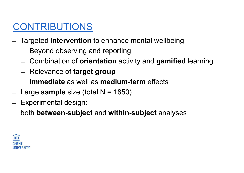# CONTRIBUTIONS

- ̶ Targeted intervention to enhance mental wellbeing
	-
- **ONTRIBUTIONS**<br>
Targeted intervention to enhance mental wellbeing<br>
 Beyond observing and reporting<br>
 Combination of **orientation** activity and **gamified** lea **Example 12 THE COMBINATIONS**<br>
Surgeted intervention to enhance mental wellbeing<br>
- Beyond observing and reporting<br>
- Combination of **orientation** activity and **gamified** learning<br>
- Relevance of **target group**<br>
- Immediat **Example 31 THRIBUTIONS**<br>
Targeted intervention to enhance mental wellk<br>
- Beyond observing and reporting<br>
- Combination of **orientation** activity and **gan**<br>
- Relevance of target group<br>
- **Immediate** as well as **medium-te**  $\begin{array}{ll} \textbf{\textcolor{blue}{\textbf{COMTR}}}\\ \textbf{\textcolor{blue}{\textbf{L}}&\textbf{\textcolor{blue}{\textbf{Targeted}}}\textbf{\textcolor{blue}{\textbf{intervention}}} \textbf{\textcolor{blue}{\textbf{to}}}\textbf{\textcolor{blue}{\textbf{on}}}\textbf{\textcolor{blue}{\textbf{and}}}\textbf{\textcolor{blue}{\textbf{we}llbeing}}\\ \textbf{\textcolor{blue}{\textbf{A}}&\textbf{\textcolor{blue}{\textbf{B}}}\textbf{\textcolor{blue}{\textbf{S}qmd}o} \textbf{\textcolor{blue}{\textbf{S}qmd}re} \textbf{\textcolor{blue}{\textbf{$ 
	-
	- ̶ Immediate as well as medium-term effects
- Targeted intervention to enhald Beyond observing and reportion to enhald the Combination of **orientation**<br>- Relevance of **target group**<br>- **Immediate** as well as **med**<br>- Large **sample** size (total N = 1<br>- Experimental
- 

both between-subject and within-subject analyses

![](_page_21_Picture_9.jpeg)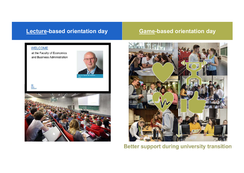![](_page_22_Picture_2.jpeg)

 $\mathbf{a}$ 

and Business Administration

![](_page_22_Picture_6.jpeg)

![](_page_22_Picture_7.jpeg)

![](_page_22_Picture_8.jpeg)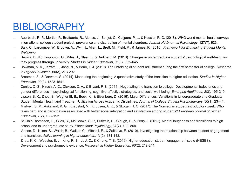## BIBLIOGRAPHY

- 
- **BIBLIOGRAPHY**<br>
 Auerbach, R. P., Mortier, P., Bruffaerts, R., Alonso, J., Benjet, C., Cuijpers, P., ... & Kessler, R. C. (2018). WHO world mental health surveys<br>
international college student project: prevalence and dist **international college student project:** prevalence and distribution of mental disorders. P. ... & Kessler, R. C. (2018). WHO world mental health surveys<br>international college student project: prevalence and distribution o
- Auerbach, R. P., Mortier, P., Bruffaerts, R., Alonso, J., Benjet, C., Cuijpers, P., ... & Kessler, R. C. (2018). WHO world mental health surveys<br>
international college student project: prevalence and distribution of me they progress through university. Studies in Higher Education, 35(6), 633–645.
- BUIOGRAPHY<br>
Auerbach, R. P., Mortier, P., Bruffaerts, R., Alonso, J., Benjet, C., Cuijpers, P., ... & Kessler, R. C. (2018). WHO world mental health surveys<br>
international college student project: prevalence and dist <u>BIBLIOGRAPHY</u><br>
Auerbach, R. P., Mortier, P., Bruffaerts, R., Alonso, J., Benjet, C., Cuijpers, P., ... & Kessler, R. C. (2018). WHO world mental health surveys<br>
international college student project: prevalence and dist in Higher Education, 60(3), 273-292. <u>BIBLIOGRAPHY</u><br>
— Auerbach, R. P., Mortier, P., Bruffaerts, R., Alonso, J., Benjet, C., Cuijpers, P., ... & Kessler, R. C. (2018). WHO world mental health surveys<br>
international college student project: prevalence and dis <u>BIBLIOGRAPHY</u><br>
International college suddent project prevalence and distribution of mental disorders. *P.*,...& Kessler, R. C. (2018). WHO world mental health surveys<br>
international college suddent project prevalence an
- Education, 39(9), 1523-1541.
- gender differences in psychological functioning, cognitive-affective strategies, and social well-being. Emerging Adulthood, 2(3), 195-210.
- 
- ̶ Lipson, S. K., Zhou, S., Wagner III, B., Beck, K., & Eisenberg, D. (2016). Major Differences: Variations in Undergraduate and Graduate **IDEIOUGRAPHY**<br>
Auerbach, R. P., Mortier, P., Bruffaerts, R., Alonso, J., Benjet, C., Cuijpers, P., ... & Kessler, R. C. (2018). WHO world mental health surveys<br>
Baik, C., Larcombe, W., Brooker, A., Wyn, J., Allen, L., Bre Auerbach, R. P., Mortier, P., Bruffaerts, R., Alonso, J., Benjet, C., Cuijpers, P., ... & Kessler, R. C. (2018). WHO world mental health surveys<br>international college student project: prevalence and distribution of mental takes part, and is participation associated with better social integration and satisfaction among students? European Journal of Higher Education, 7(2), 136–152. Baik, C., Larcombe, W., Brooker, A., Wyn, J., Allen, L., Brett, M., Field, R., & James, R. (2016). *Framework for Enhancing Student Mental*<br>
Wellbeirg,<br>
Bewick, S., Koutsopoulou, G., Miles, J., Staa, E., & Barkham, M. (201 Bewick, B., Koutsopoulou, G., Miles, J., Slaa, E., & Bankham, M. (2010). Changes in undergraduate students' psychological well-being as<br>
they progress through university. Studes in Higher Education, 35(6), 633–645.<br>
in H Bowman, N. A., Jarratt, L., Jang, N., & Bono, T. J. (2019). The unfolding of student adjustment during the first semester of college. Research<br>
in Higher Education, 60(3). 273-292.<br>
Effective and Societion Suddies in Highe
- school and to undergraduate study. Educational Psychology, 37(7), 792–809.
- and transition. Active learning in higher education, 11(2), 131-143.
- Development and psychometric evidence. Research in Higher Education, 60(2), 219-244.